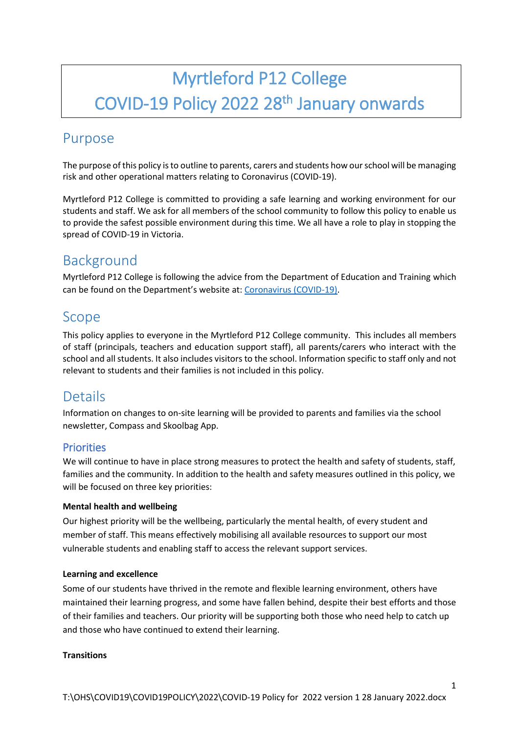# Myrtleford P12 College COVID-19 Policy 2022 28<sup>th</sup> January onwards

## Purpose

The purpose of this policy is to outline to parents, carers and students how our school will be managing risk and other operational matters relating to Coronavirus (COVID-19).

Myrtleford P12 College is committed to providing a safe learning and working environment for our students and staff. We ask for all members of the school community to follow this policy to enable us to provide the safest possible environment during this time. We all have a role to play in stopping the spread of COVID-19 in Victoria.

## Background

Myrtleford P12 College is following the advice from the Department of Education and Training which can be found on the Department's website at: [Coronavirus \(COVID-19\).](https://www.education.vic.gov.au/school/Pages/coronavirus-advice-schools.aspx)

## Scope

This policy applies to everyone in the Myrtleford P12 College community. This includes all members of staff (principals, teachers and education support staff), all parents/carers who interact with the school and all students. It also includes visitors to the school. Information specific to staff only and not relevant to students and their families is not included in this policy.

## **Details**

Information on changes to on-site learning will be provided to parents and families via the school newsletter, Compass and Skoolbag App.

## **Priorities**

We will continue to have in place strong measures to protect the health and safety of students, staff, families and the community. In addition to the health and safety measures outlined in this policy, we will be focused on three key priorities:

### **Mental health and wellbeing**

Our highest priority will be the wellbeing, particularly the mental health, of every student and member of staff. This means effectively mobilising all available resources to support our most vulnerable students and enabling staff to access the relevant support services.

#### **Learning and excellence**

Some of our students have thrived in the remote and flexible learning environment, others have maintained their learning progress, and some have fallen behind, despite their best efforts and those of their families and teachers. Our priority will be supporting both those who need help to catch up and those who have continued to extend their learning.

#### **Transitions**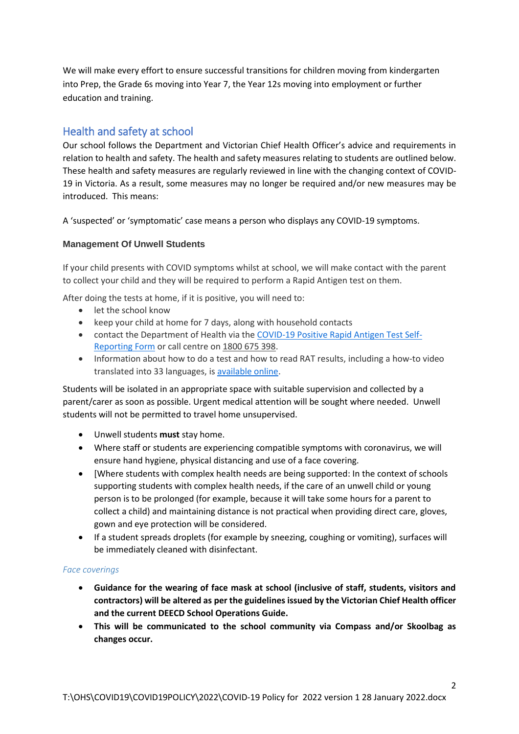We will make every effort to ensure successful transitions for children moving from kindergarten into Prep, the Grade 6s moving into Year 7, the Year 12s moving into employment or further education and training.

## Health and safety at school

Our school follows the Department and Victorian Chief Health Officer's advice and requirements in relation to health and safety. The health and safety measures relating to students are outlined below. These health and safety measures are regularly reviewed in line with the changing context of COVID-19 in Victoria. As a result, some measures may no longer be required and/or new measures may be introduced. This means:

A 'suspected' or 'symptomatic' case means a person who displays any COVID-19 symptoms.

#### **Management Of Unwell Students**

If your child presents with COVID symptoms whilst at school, we will make contact with the parent to collect your child and they will be required to perform a Rapid Antigen test on them.

After doing the tests at home, if it is positive, you will need to:

- let the school know
- keep your child at home for 7 days, along with household contacts
- contact the Department of Health via the [COVID-19 Positive Rapid Antigen Test Self-](https://dhvicgovau.powerappsportals.com/rapid-antigen-test/)[Reporting Form](https://dhvicgovau.powerappsportals.com/rapid-antigen-test/) or call centre on 1800 675 398.
- Information about how to do a test and how to read RAT results, including a how-to video translated into 33 languages, is [available online.](https://www.coronavirus.vic.gov.au/rapid-antigen-testing-schools)

Students will be isolated in an appropriate space with suitable supervision and collected by a parent/carer as soon as possible. Urgent medical attention will be sought where needed. Unwell students will not be permitted to travel home unsupervised.

- Unwell students **must** stay home.
- Where staff or students are experiencing compatible symptoms with coronavirus, we will ensure hand hygiene, physical distancing and use of a face covering.
- [Where students with complex health needs are being supported: In the context of schools supporting students with complex health needs, if the care of an unwell child or young person is to be prolonged (for example, because it will take some hours for a parent to collect a child) and maintaining distance is not practical when providing direct care, gloves, gown and eye protection will be considered.
- If a student spreads droplets (for example by sneezing, coughing or vomiting), surfaces will be immediately cleaned with disinfectant.

#### *Face coverings*

- **Guidance for the wearing of face mask at school (inclusive of staff, students, visitors and contractors) will be altered as per the guidelines issued by the Victorian Chief Health officer and the current DEECD School Operations Guide.**
- **This will be communicated to the school community via Compass and/or Skoolbag as changes occur.**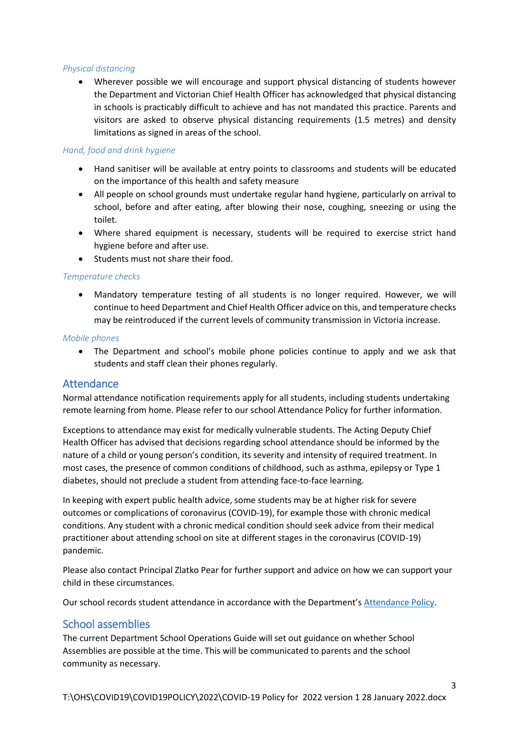#### *Physical distancing*

 Wherever possible we will encourage and support physical distancing of students however the Department and Victorian Chief Health Officer has acknowledged that physical distancing in schools is practicably difficult to achieve and has not mandated this practice. Parents and visitors are asked to observe physical distancing requirements (1.5 metres) and density limitations as signed in areas of the school.

#### *Hand, food and drink hygiene*

- Hand sanitiser will be available at entry points to classrooms and students will be educated on the importance of this health and safety measure
- All people on school grounds must undertake regular hand hygiene, particularly on arrival to school, before and after eating, after blowing their nose, coughing, sneezing or using the toilet.
- Where shared equipment is necessary, students will be required to exercise strict hand hygiene before and after use.
- Students must not share their food.

#### *Temperature checks*

 Mandatory temperature testing of all students is no longer required. However, we will continue to heed Department and Chief Health Officer advice on this, and temperature checks may be reintroduced if the current levels of community transmission in Victoria increase.

#### *Mobile phones*

 The Department and school's mobile phone policies continue to apply and we ask that students and staff clean their phones regularly.

### Attendance

Normal attendance notification requirements apply for all students, including students undertaking remote learning from home. Please refer to our school Attendance Policy for further information.

Exceptions to attendance may exist for medically vulnerable students. The Acting Deputy Chief Health Officer has advised that decisions regarding school attendance should be informed by the nature of a child or young person's condition, its severity and intensity of required treatment. In most cases, the presence of common conditions of childhood, such as asthma, epilepsy or Type 1 diabetes, should not preclude a student from attending face-to-face learning.

In keeping with expert public health advice, some students may be at higher risk for severe outcomes or complications of coronavirus (COVID-19), for example those with chronic medical conditions. Any student with a chronic medical condition should seek advice from their medical practitioner about attending school on site at different stages in the coronavirus (COVID-19) pandemic.

Please also contact Principal Zlatko Pear for further support and advice on how we can support your child in these circumstances.

Our school records student attendance in accordance with the Department's [Attendance Policy.](https://www2.education.vic.gov.au/pal/attendance/policy)

## School assemblies

The current Department School Operations Guide will set out guidance on whether School Assemblies are possible at the time. This will be communicated to parents and the school community as necessary.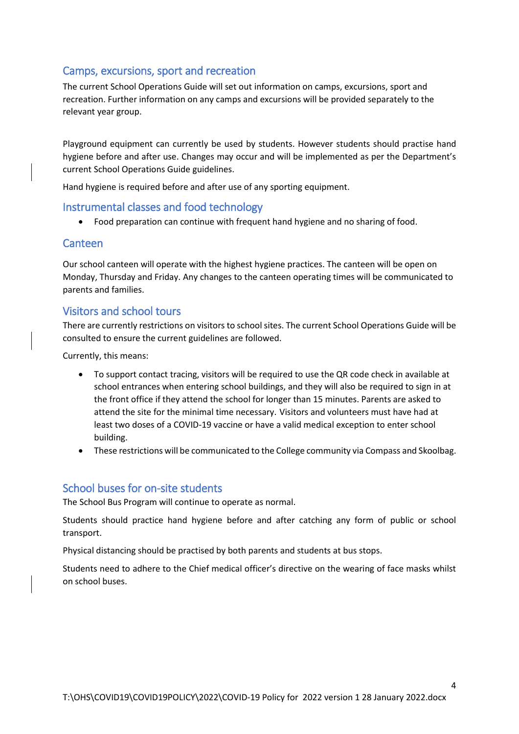## Camps, excursions, sport and recreation

The current School Operations Guide will set out information on camps, excursions, sport and recreation. Further information on any camps and excursions will be provided separately to the relevant year group.

Playground equipment can currently be used by students. However students should practise hand hygiene before and after use. Changes may occur and will be implemented as per the Department's current School Operations Guide guidelines.

Hand hygiene is required before and after use of any sporting equipment.

### Instrumental classes and food technology

Food preparation can continue with frequent hand hygiene and no sharing of food.

#### Canteen

Our school canteen will operate with the highest hygiene practices. The canteen will be open on Monday, Thursday and Friday. Any changes to the canteen operating times will be communicated to parents and families.

### Visitors and school tours

There are currently restrictions on visitors to school sites. The current School Operations Guide will be consulted to ensure the current guidelines are followed.

Currently, this means:

- To support contact tracing, visitors will be required to use the QR code check in available at school entrances when entering school buildings, and they will also be required to sign in at the front office if they attend the school for longer than 15 minutes. Parents are asked to attend the site for the minimal time necessary. Visitors and volunteers must have had at least two doses of a COVID-19 vaccine or have a valid medical exception to enter school building.
- These restrictions will be communicated to the College community via Compass and Skoolbag.

### School buses for on-site students

The School Bus Program will continue to operate as normal.

Students should practice hand hygiene before and after catching any form of public or school transport.

Physical distancing should be practised by both parents and students at bus stops.

Students need to adhere to the Chief medical officer's directive on the wearing of face masks whilst on school buses.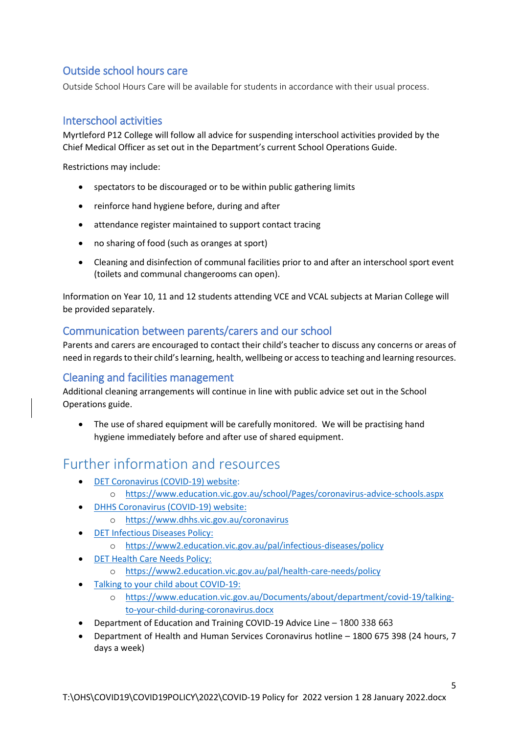## Outside school hours care

Outside School Hours Care will be available for students in accordance with their usual process.

## Interschool activities

Myrtleford P12 College will follow all advice for suspending interschool activities provided by the Chief Medical Officer as set out in the Department's current School Operations Guide.

Restrictions may include:

- spectators to be discouraged or to be within public gathering limits
- reinforce hand hygiene before, during and after
- attendance register maintained to support contact tracing
- no sharing of food (such as oranges at sport)
- Cleaning and disinfection of communal facilities prior to and after an interschool sport event (toilets and communal changerooms can open).

Information on Year 10, 11 and 12 students attending VCE and VCAL subjects at Marian College will be provided separately.

## Communication between parents/carers and our school

Parents and carers are encouraged to contact their child's teacher to discuss any concerns or areas of need in regards to their child's learning, health, wellbeing or access to teaching and learning resources.

## Cleaning and facilities management

Additional cleaning arrangements will continue in line with public advice set out in the School Operations guide.

 The use of shared equipment will be carefully monitored. We will be practising hand hygiene immediately before and after use of shared equipment.

## Further information and resources

- [DET Coronavirus \(COVID-19\) website:](https://education.vic.gov.au/about/department/Pages/coronavirus.aspx)
	- o <https://www.education.vic.gov.au/school/Pages/coronavirus-advice-schools.aspx>
- [DHHS Coronavirus \(COVID-19\) website:](https://www.dhhs.vic.gov.au/coronavirus)
	- o <https://www.dhhs.vic.gov.au/coronavirus>
- [DET Infectious Diseases Policy:](https://www2.education.vic.gov.au/pal/infectious-diseases/policy)
	- o <https://www2.education.vic.gov.au/pal/infectious-diseases/policy>
- [DET Health Care Needs Policy:](https://www2.education.vic.gov.au/pal/health-care-needs/policy)
	- o <https://www2.education.vic.gov.au/pal/health-care-needs/policy>
- [Talking to your child about COVID-19:](https://www.education.vic.gov.au/Documents/about/department/covid-19/talking-to-your-child-during-coronavirus.docx)
	- o [https://www.education.vic.gov.au/Documents/about/department/covid-19/talking](https://www.education.vic.gov.au/Documents/about/department/covid-19/talking-to-your-child-during-coronavirus.docx)[to-your-child-during-coronavirus.docx](https://www.education.vic.gov.au/Documents/about/department/covid-19/talking-to-your-child-during-coronavirus.docx)
- Department of Education and Training COVID-19 Advice Line 1800 338 663
- Department of Health and Human Services Coronavirus hotline 1800 675 398 (24 hours, 7 days a week)